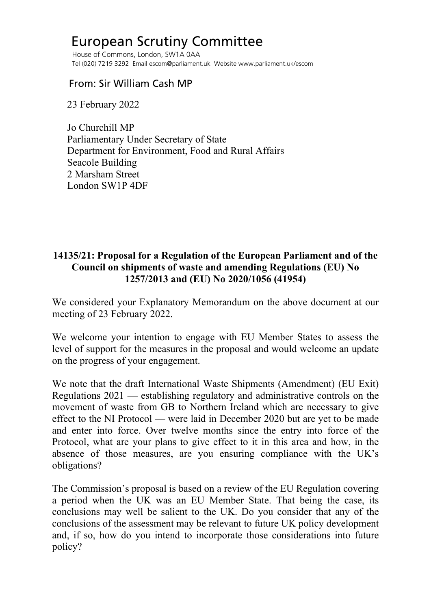## European Scrutiny Committee

 House of Commons, London, SW1A 0AA Tel (020) 7219 3292 Email escom@parliament.uk Website www.parliament.uk/escom

## From: Sir William Cash MP

23 February 2022

 Jo Churchill MP Parliamentary Under Secretary of State Department for Environment, Food and Rural Affairs Seacole Building 2 Marsham Street London SW1P 4DF

## **14135/21: Proposal for a Regulation of the European Parliament and of the Council on shipments of waste and amending Regulations (EU) No 1257/2013 and (EU) No 2020/1056 (41954)**

We considered your Explanatory Memorandum on the above document at our meeting of 23 February 2022.

We welcome your intention to engage with EU Member States to assess the level of support for the measures in the proposal and would welcome an update on the progress of your engagement.

We note that the draft International Waste Shipments (Amendment) (EU Exit) Regulations 2021 — establishing regulatory and administrative controls on the movement of waste from GB to Northern Ireland which are necessary to give effect to the NI Protocol — were laid in December 2020 but are yet to be made and enter into force. Over twelve months since the entry into force of the Protocol, what are your plans to give effect to it in this area and how, in the absence of those measures, are you ensuring compliance with the UK's obligations?

The Commission's proposal is based on a review of the EU Regulation covering a period when the UK was an EU Member State. That being the case, its conclusions may well be salient to the UK. Do you consider that any of the conclusions of the assessment may be relevant to future UK policy development and, if so, how do you intend to incorporate those considerations into future policy?